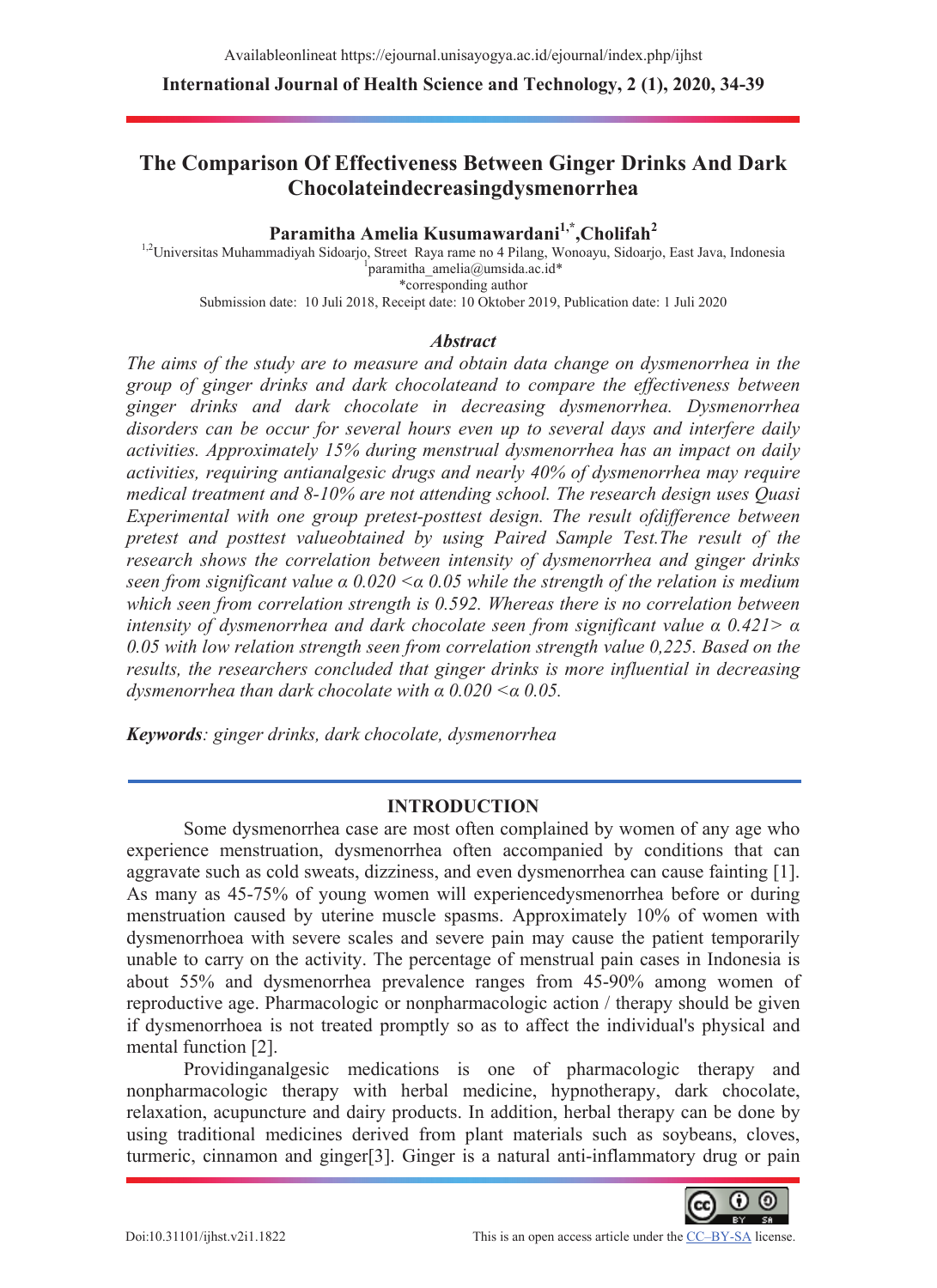# **The Comparison Of Effectiveness Between Ginger Drinks And Dark Chocolateindecreasingdysmenorrhea**

### Paramitha Amelia Kusumawardani<sup>1,\*</sup>,Cholifah<sup>2</sup>

<sup>1,2</sup>Universitas Muhammadiyah Sidoarjo, Street Raya rame no 4 Pilang, Wonoayu, Sidoarjo, East Java, Indonesia paramitha\_amelia@umsida.ac.id\* \*corresponding author Submission date: 10 Juli 2018, Receipt date: 10 Oktober 2019, Publication date: 1 Juli 2020

#### *Abstract*

*The aims of the study are to measure and obtain data change on dysmenorrhea in the group of ginger drinks and dark chocolateand to compare the effectiveness between ginger drinks and dark chocolate in decreasing dysmenorrhea. Dysmenorrhea disorders can be occur for several hours even up to several days and interfere daily activities. Approximately 15% during menstrual dysmenorrhea has an impact on daily activities, requiring antianalgesic drugs and nearly 40% of dysmenorrhea may require medical treatment and 8-10% are not attending school. The research design uses Quasi Experimental with one group pretest-posttest design. The result ofdifference between pretest and posttest valueobtained by using Paired Sample Test.The result of the research shows the correlation between intensity of dysmenorrhea and ginger drinks seen from significant value*  $\alpha$  *0.020*  $\leq \alpha$  *0.05 while the strength of the relation is medium which seen from correlation strength is 0.592. Whereas there is no correlation between intensity of dysmenorrhea and dark chocolate seen from significant value*  $\alpha$  *0.421>*  $\alpha$ *0.05 with low relation strength seen from correlation strength value 0,225. Based on the results, the researchers concluded that ginger drinks is more influential in decreasing dysmenorrhea than dark chocolate with*  $\alpha$  *0.020*  $\lt \alpha$  *0.05.* 

*Keywords: ginger drinks, dark chocolate, dysmenorrhea* 

## **INTRODUCTION**

Some dysmenorrhea case are most often complained by women of any age who experience menstruation, dysmenorrhea often accompanied by conditions that can aggravate such as cold sweats, dizziness, and even dysmenorrhea can cause fainting [1]. As many as 45-75% of young women will experiencedysmenorrhea before or during menstruation caused by uterine muscle spasms. Approximately 10% of women with dysmenorrhoea with severe scales and severe pain may cause the patient temporarily unable to carry on the activity. The percentage of menstrual pain cases in Indonesia is about 55% and dysmenorrhea prevalence ranges from 45-90% among women of reproductive age. Pharmacologic or nonpharmacologic action / therapy should be given if dysmenorrhoea is not treated promptly so as to affect the individual's physical and mental function [2].

Providinganalgesic medications is one of pharmacologic therapy and nonpharmacologic therapy with herbal medicine, hypnotherapy, dark chocolate, relaxation, acupuncture and dairy products. In addition, herbal therapy can be done by using traditional medicines derived from plant materials such as soybeans, cloves, turmeric, cinnamon and ginger[3]. Ginger is a natural anti-inflammatory drug or pain

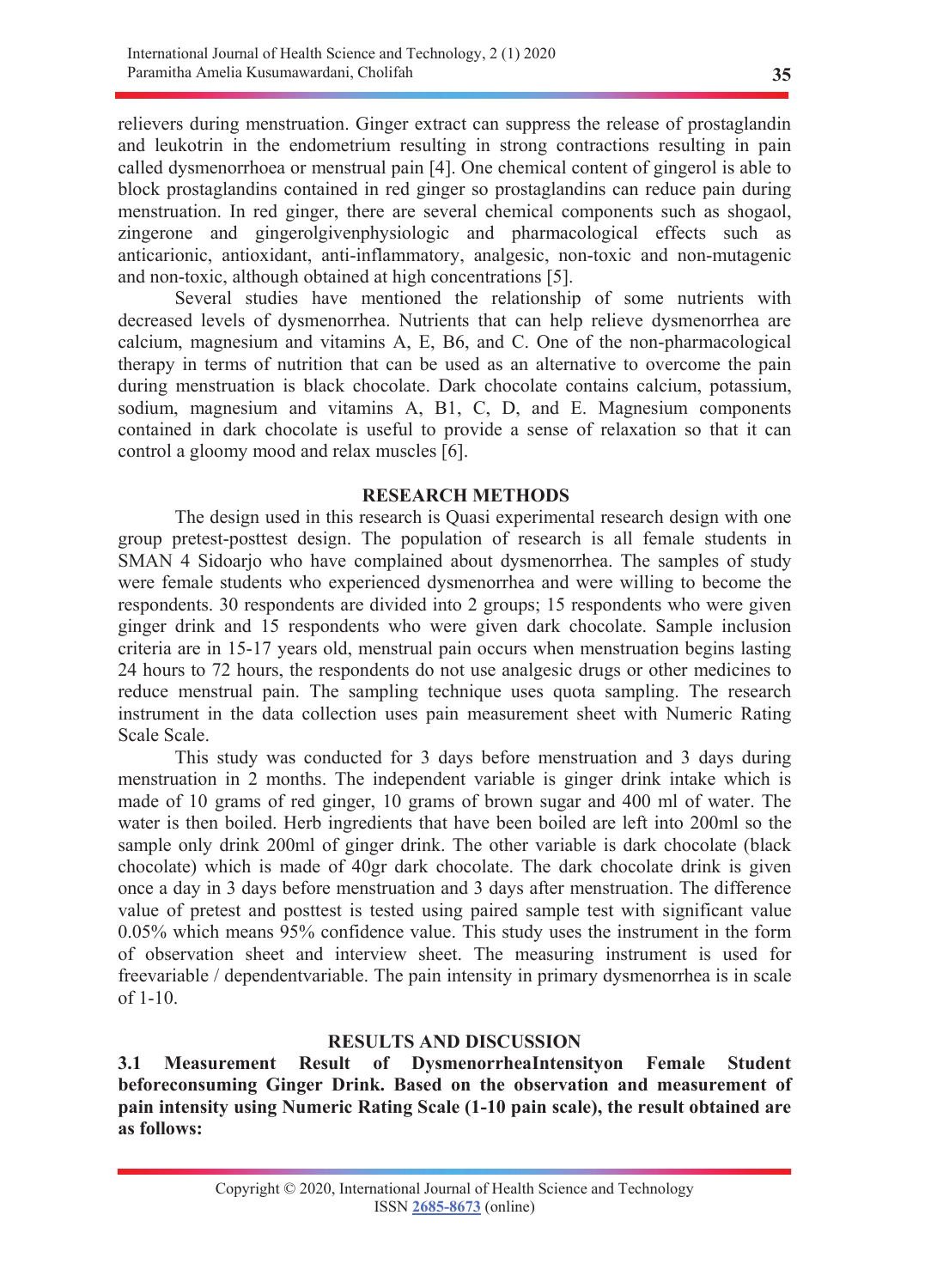relievers during menstruation. Ginger extract can suppress the release of prostaglandin and leukotrin in the endometrium resulting in strong contractions resulting in pain called dysmenorrhoea or menstrual pain [4]. One chemical content of gingerol is able to block prostaglandins contained in red ginger so prostaglandins can reduce pain during menstruation. In red ginger, there are several chemical components such as shogaol, zingerone and gingerolgivenphysiologic and pharmacological effects such as anticarionic, antioxidant, anti-inflammatory, analgesic, non-toxic and non-mutagenic and non-toxic, although obtained at high concentrations [5].

Several studies have mentioned the relationship of some nutrients with decreased levels of dysmenorrhea. Nutrients that can help relieve dysmenorrhea are calcium, magnesium and vitamins A, E, B6, and C. One of the non-pharmacological therapy in terms of nutrition that can be used as an alternative to overcome the pain during menstruation is black chocolate. Dark chocolate contains calcium, potassium, sodium, magnesium and vitamins A, B1, C, D, and E. Magnesium components contained in dark chocolate is useful to provide a sense of relaxation so that it can control a gloomy mood and relax muscles [6].

#### **RESEARCH METHODS**

 The design used in this research is Quasi experimental research design with one group pretest-posttest design. The population of research is all female students in SMAN 4 Sidoario who have complained about dysmenorrhea. The samples of study were female students who experienced dysmenorrhea and were willing to become the respondents. 30 respondents are divided into 2 groups; 15 respondents who were given ginger drink and 15 respondents who were given dark chocolate. Sample inclusion criteria are in 15-17 years old, menstrual pain occurs when menstruation begins lasting 24 hours to 72 hours, the respondents do not use analgesic drugs or other medicines to reduce menstrual pain. The sampling technique uses quota sampling. The research instrument in the data collection uses pain measurement sheet with Numeric Rating Scale Scale.

 This study was conducted for 3 days before menstruation and 3 days during menstruation in 2 months. The independent variable is ginger drink intake which is made of 10 grams of red ginger, 10 grams of brown sugar and 400 ml of water. The water is then boiled. Herb ingredients that have been boiled are left into 200ml so the sample only drink 200ml of ginger drink. The other variable is dark chocolate (black chocolate) which is made of 40gr dark chocolate. The dark chocolate drink is given once a day in 3 days before menstruation and 3 days after menstruation. The difference value of pretest and posttest is tested using paired sample test with significant value 0.05% which means 95% confidence value. This study uses the instrument in the form of observation sheet and interview sheet. The measuring instrument is used for freevariable / dependentvariable. The pain intensity in primary dysmenorrhea is in scale of 1-10.

#### **RESULTS AND DISCUSSION**

**3.1 Measurement Result of DysmenorrheaIntensityon Female Student beforeconsuming Ginger Drink. Based on the observation and measurement of pain intensity using Numeric Rating Scale (1-10 pain scale), the result obtained are as follows:**

**35**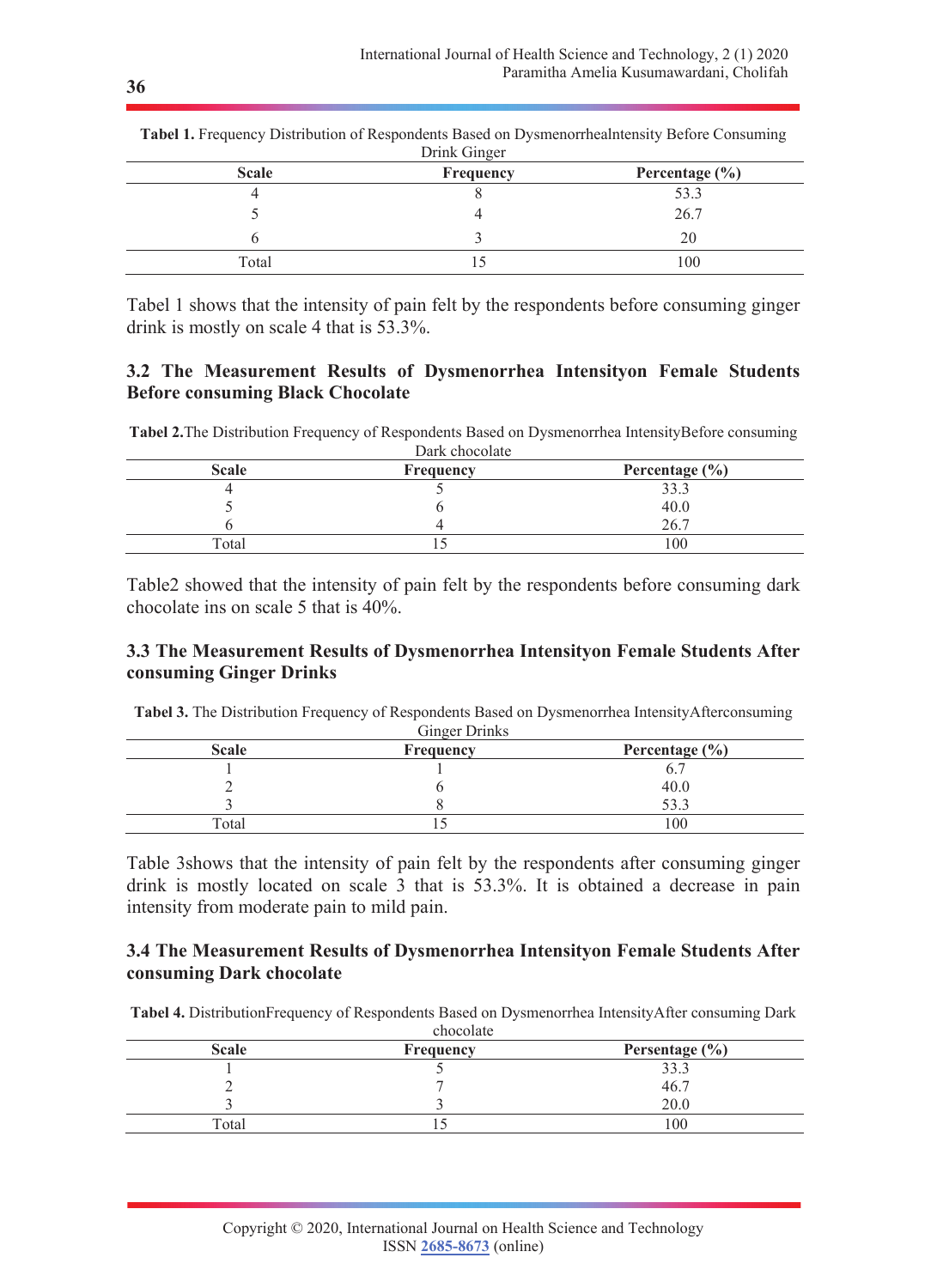| <b>Scale</b> | Frequency | Percentage $(\% )$ |
|--------------|-----------|--------------------|
|              |           | 53.3               |
|              |           | 26.7               |
|              |           | 20                 |
| Total        |           | 100                |

**Tabel 1.** Frequency Distribution of Respondents Based on Dysmenorrhealntensity Before Consuming Drink Ginger

Tabel 1 shows that the intensity of pain felt by the respondents before consuming ginger drink is mostly on scale 4 that is 53.3%.

## **3.2 The Measurement Results of Dysmenorrhea Intensityon Female Students Before consuming Black Chocolate**

**Tabel 2.**The Distribution Frequency of Respondents Based on Dysmenorrhea IntensityBefore consuming Dark chocolate

| <b>Frequency</b> | Percentage $(\% )$ |
|------------------|--------------------|
|                  | 33.3               |
|                  | 40.0               |
|                  | 26.7               |
|                  | 100                |
|                  | Dain chocolate     |

Table2 showed that the intensity of pain felt by the respondents before consuming dark chocolate ins on scale 5 that is 40%.

## **3.3 The Measurement Results of Dysmenorrhea Intensityon Female Students After consuming Ginger Drinks**

**Tabel 3.** The Distribution Frequency of Respondents Based on Dysmenorrhea IntensityAfterconsuming Ginger Drinks

| <b>Scale</b> | <b>Frequency</b> | Percentage $(\% )$ |
|--------------|------------------|--------------------|
|              |                  |                    |
|              |                  | 40.0               |
|              |                  | 52 2               |
| Total        |                  | 100                |

Table 3shows that the intensity of pain felt by the respondents after consuming ginger drink is mostly located on scale 3 that is 53.3%. It is obtained a decrease in pain intensity from moderate pain to mild pain.

## **3.4 The Measurement Results of Dysmenorrhea Intensityon Female Students After consuming Dark chocolate**

**Tabel 4.** DistributionFrequency of Respondents Based on Dysmenorrhea IntensityAfter consuming Dark

| chocolate    |           |                    |  |
|--------------|-----------|--------------------|--|
| <b>Scale</b> | Frequency | Persentage $(\% )$ |  |
|              |           | 33.3               |  |
|              |           | 46.7               |  |
|              |           | 20.0               |  |
| Total        |           | 100                |  |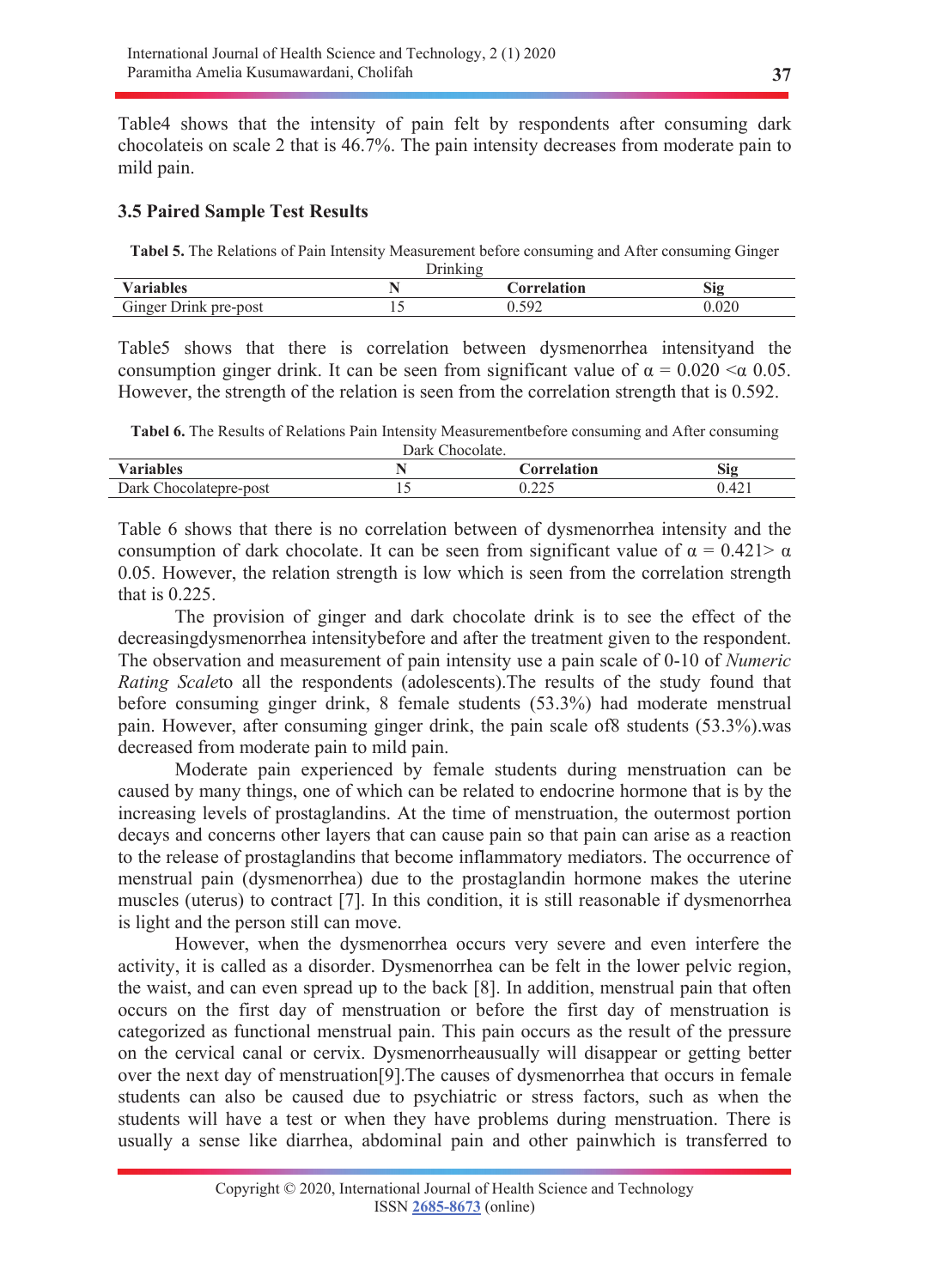Table4 shows that the intensity of pain felt by respondents after consuming dark chocolateis on scale 2 that is 46.7%. The pain intensity decreases from moderate pain to mild pain.

## **3.5 Paired Sample Test Results**

**Tabel 5.** The Relations of Pain Intensity Measurement before consuming and After consuming Ginger

| Jrınkıng              |  |                    |       |
|-----------------------|--|--------------------|-------|
| <b>Variables</b>      |  | <b>Correlation</b> | Sig   |
| Ginger Drink pre-post |  | 592                | 0.020 |

Table5 shows that there is correlation between dysmenorrhea intensityand the consumption ginger drink. It can be seen from significant value of  $\alpha = 0.020 < \alpha$  0.05. However, the strength of the relation is seen from the correlation strength that is 0.592.

**Tabel 6.** The Results of Relations Pain Intensity Measurementbefore consuming and After consuming

| Dark Chocolate.        |  |                    |       |
|------------------------|--|--------------------|-------|
| <b>Variables</b>       |  | Correlation        | Sig   |
| Dark Chocolatepre-post |  | いつつく<br>ہ ہے ہے .∪ | 0.421 |

Table 6 shows that there is no correlation between of dysmenorrhea intensity and the consumption of dark chocolate. It can be seen from significant value of  $\alpha = 0.421 > \alpha$ 0.05. However, the relation strength is low which is seen from the correlation strength that is 0.225.

 The provision of ginger and dark chocolate drink is to see the effect of the decreasingdysmenorrhea intensitybefore and after the treatment given to the respondent. The observation and measurement of pain intensity use a pain scale of 0-10 of *Numeric Rating Scale*to all the respondents (adolescents).The results of the study found that before consuming ginger drink, 8 female students (53.3%) had moderate menstrual pain. However, after consuming ginger drink, the pain scale of8 students (53.3%).was decreased from moderate pain to mild pain.

 Moderate pain experienced by female students during menstruation can be caused by many things, one of which can be related to endocrine hormone that is by the increasing levels of prostaglandins. At the time of menstruation, the outermost portion decays and concerns other layers that can cause pain so that pain can arise as a reaction to the release of prostaglandins that become inflammatory mediators. The occurrence of menstrual pain (dysmenorrhea) due to the prostaglandin hormone makes the uterine muscles (uterus) to contract [7]. In this condition, it is still reasonable if dysmenorrhea is light and the person still can move.

 However, when the dysmenorrhea occurs very severe and even interfere the activity, it is called as a disorder. Dysmenorrhea can be felt in the lower pelvic region, the waist, and can even spread up to the back [8]. In addition, menstrual pain that often occurs on the first day of menstruation or before the first day of menstruation is categorized as functional menstrual pain. This pain occurs as the result of the pressure on the cervical canal or cervix. Dysmenorrheausually will disappear or getting better over the next day of menstruation[9].The causes of dysmenorrhea that occurs in female students can also be caused due to psychiatric or stress factors, such as when the students will have a test or when they have problems during menstruation. There is usually a sense like diarrhea, abdominal pain and other painwhich is transferred to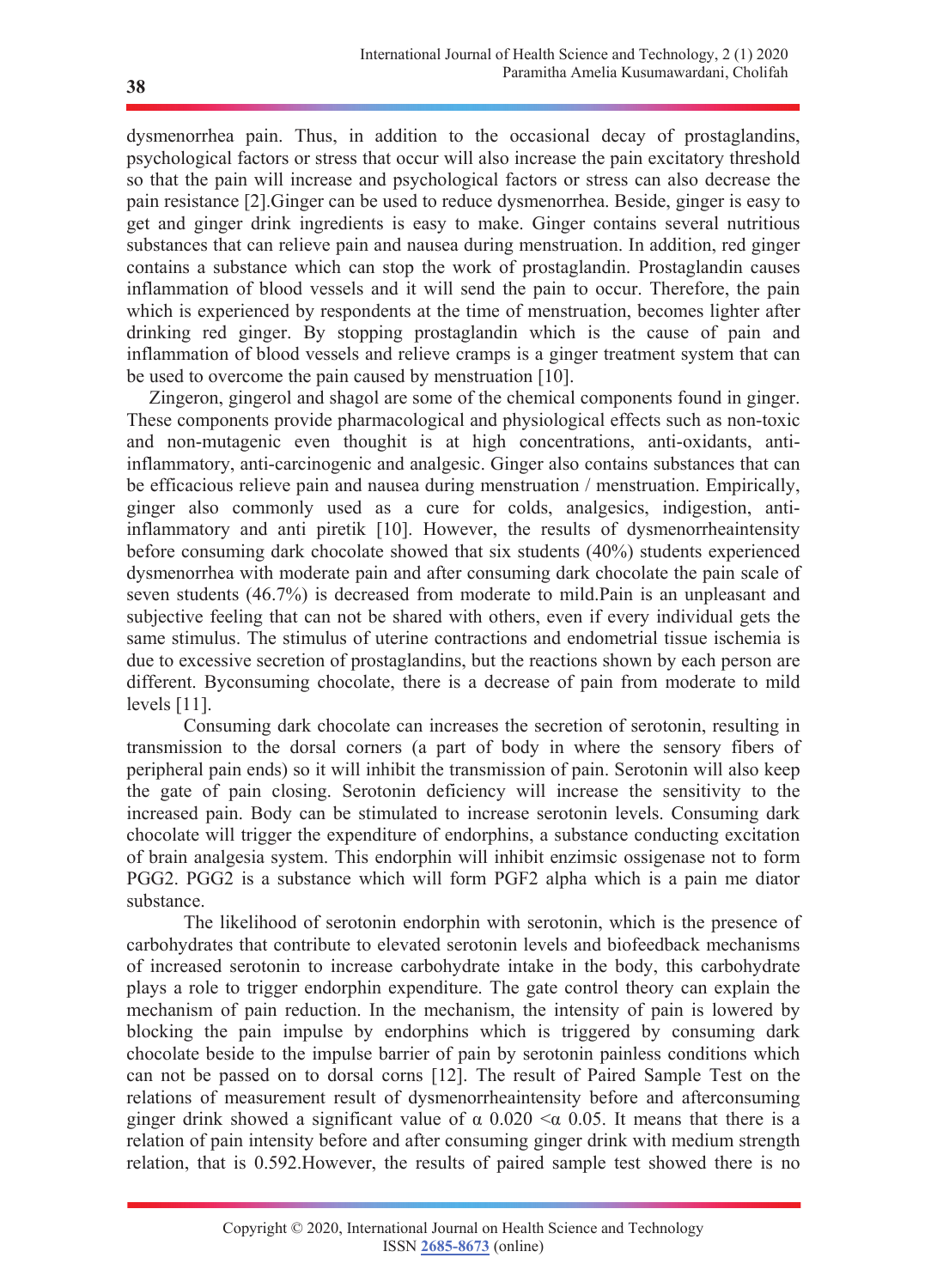dysmenorrhea pain. Thus, in addition to the occasional decay of prostaglandins, psychological factors or stress that occur will also increase the pain excitatory threshold so that the pain will increase and psychological factors or stress can also decrease the pain resistance [2].Ginger can be used to reduce dysmenorrhea. Beside, ginger is easy to get and ginger drink ingredients is easy to make. Ginger contains several nutritious substances that can relieve pain and nausea during menstruation. In addition, red ginger contains a substance which can stop the work of prostaglandin. Prostaglandin causes inflammation of blood vessels and it will send the pain to occur. Therefore, the pain which is experienced by respondents at the time of menstruation, becomes lighter after drinking red ginger. By stopping prostaglandin which is the cause of pain and inflammation of blood vessels and relieve cramps is a ginger treatment system that can be used to overcome the pain caused by menstruation [10].

 Zingeron, gingerol and shagol are some of the chemical components found in ginger. These components provide pharmacological and physiological effects such as non-toxic and non-mutagenic even thoughit is at high concentrations, anti-oxidants, antiinflammatory, anti-carcinogenic and analgesic. Ginger also contains substances that can be efficacious relieve pain and nausea during menstruation / menstruation. Empirically, ginger also commonly used as a cure for colds, analgesics, indigestion, antiinflammatory and anti piretik [10]. However, the results of dysmenorrheaintensity before consuming dark chocolate showed that six students (40%) students experienced dysmenorrhea with moderate pain and after consuming dark chocolate the pain scale of seven students (46.7%) is decreased from moderate to mild.Pain is an unpleasant and subjective feeling that can not be shared with others, even if every individual gets the same stimulus. The stimulus of uterine contractions and endometrial tissue ischemia is due to excessive secretion of prostaglandins, but the reactions shown by each person are different. Byconsuming chocolate, there is a decrease of pain from moderate to mild levels [11].

 Consuming dark chocolate can increases the secretion of serotonin, resulting in transmission to the dorsal corners (a part of body in where the sensory fibers of peripheral pain ends) so it will inhibit the transmission of pain. Serotonin will also keep the gate of pain closing. Serotonin deficiency will increase the sensitivity to the increased pain. Body can be stimulated to increase serotonin levels. Consuming dark chocolate will trigger the expenditure of endorphins, a substance conducting excitation of brain analgesia system. This endorphin will inhibit enzimsic ossigenase not to form PGG2. PGG2 is a substance which will form PGF2 alpha which is a pain me diator substance.

 The likelihood of serotonin endorphin with serotonin, which is the presence of carbohydrates that contribute to elevated serotonin levels and biofeedback mechanisms of increased serotonin to increase carbohydrate intake in the body, this carbohydrate plays a role to trigger endorphin expenditure. The gate control theory can explain the mechanism of pain reduction. In the mechanism, the intensity of pain is lowered by blocking the pain impulse by endorphins which is triggered by consuming dark chocolate beside to the impulse barrier of pain by serotonin painless conditions which can not be passed on to dorsal corns [12]. The result of Paired Sample Test on the relations of measurement result of dysmenorrheaintensity before and afterconsuming ginger drink showed a significant value of  $\alpha$  0.020  $\leq \alpha$  0.05. It means that there is a relation of pain intensity before and after consuming ginger drink with medium strength relation, that is 0.592.However, the results of paired sample test showed there is no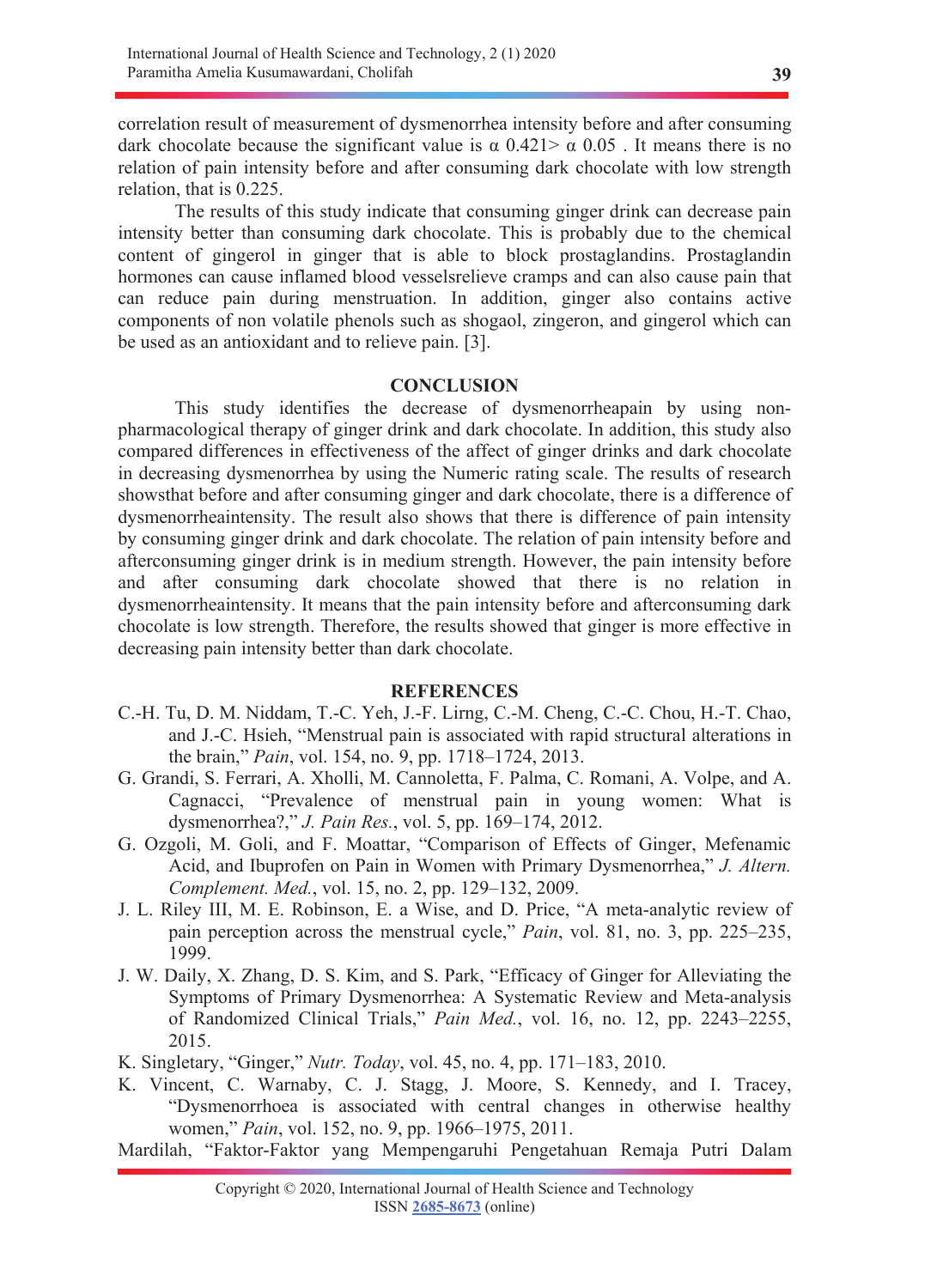correlation result of measurement of dysmenorrhea intensity before and after consuming dark chocolate because the significant value is  $\alpha$  0.421  $>\alpha$  0.05. It means there is no relation of pain intensity before and after consuming dark chocolate with low strength relation, that is 0.225.

 The results of this study indicate that consuming ginger drink can decrease pain intensity better than consuming dark chocolate. This is probably due to the chemical content of gingerol in ginger that is able to block prostaglandins. Prostaglandin hormones can cause inflamed blood vesselsrelieve cramps and can also cause pain that can reduce pain during menstruation. In addition, ginger also contains active components of non volatile phenols such as shogaol, zingeron, and gingerol which can be used as an antioxidant and to relieve pain. [3].

#### **CONCLUSION**

This study identifies the decrease of dysmenorrheapain by using nonpharmacological therapy of ginger drink and dark chocolate. In addition, this study also compared differences in effectiveness of the affect of ginger drinks and dark chocolate in decreasing dysmenorrhea by using the Numeric rating scale. The results of research showsthat before and after consuming ginger and dark chocolate, there is a difference of dysmenorrheaintensity. The result also shows that there is difference of pain intensity by consuming ginger drink and dark chocolate. The relation of pain intensity before and afterconsuming ginger drink is in medium strength. However, the pain intensity before and after consuming dark chocolate showed that there is no relation in dysmenorrheaintensity. It means that the pain intensity before and afterconsuming dark chocolate is low strength. Therefore, the results showed that ginger is more effective in decreasing pain intensity better than dark chocolate.

#### **REFERENCES**

- C.-H. Tu, D. M. Niddam, T.-C. Yeh, J.-F. Lirng, C.-M. Cheng, C.-C. Chou, H.-T. Chao, and J.-C. Hsieh, "Menstrual pain is associated with rapid structural alterations in the brain," *Pain*, vol. 154, no. 9, pp. 1718–1724, 2013.
- G. Grandi, S. Ferrari, A. Xholli, M. Cannoletta, F. Palma, C. Romani, A. Volpe, and A. Cagnacci, "Prevalence of menstrual pain in young women: What is dysmenorrhea?," *J. Pain Res.*, vol. 5, pp. 169–174, 2012.
- G. Ozgoli, M. Goli, and F. Moattar, "Comparison of Effects of Ginger, Mefenamic Acid, and Ibuprofen on Pain in Women with Primary Dysmenorrhea," *J. Altern. Complement. Med.*, vol. 15, no. 2, pp. 129–132, 2009.
- J. L. Riley III, M. E. Robinson, E. a Wise, and D. Price, "A meta-analytic review of pain perception across the menstrual cycle," *Pain*, vol. 81, no. 3, pp. 225–235, 1999.
- J. W. Daily, X. Zhang, D. S. Kim, and S. Park, "Efficacy of Ginger for Alleviating the Symptoms of Primary Dysmenorrhea: A Systematic Review and Meta-analysis of Randomized Clinical Trials," *Pain Med.*, vol. 16, no. 12, pp. 2243–2255, 2015.
- K. Singletary, "Ginger," *Nutr. Today*, vol. 45, no. 4, pp. 171–183, 2010.
- K. Vincent, C. Warnaby, C. J. Stagg, J. Moore, S. Kennedy, and I. Tracey, "Dysmenorrhoea is associated with central changes in otherwise healthy women," *Pain*, vol. 152, no. 9, pp. 1966–1975, 2011.
- Mardilah, "Faktor-Faktor yang Mempengaruhi Pengetahuan Remaja Putri Dalam